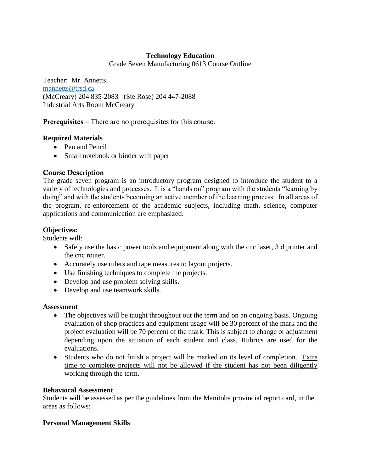# **Technology Education**

Grade Seven Manufacturing 0613 Course Outline

Teacher: Mr. Annetts [mannetts@trsd.ca](mailto:mannetts@trsd.ca) (McCreary) 204 835-2083 (Ste Rose) 204 447-2088 Industrial Arts Room McCreary

**Prerequisites –** There are no prerequisites for this course.

## **Required Materials**

- Pen and Pencil
- Small notebook or binder with paper

# **Course Description**

The grade seven program is an introductory program designed to introduce the student to a variety of technologies and processes. It is a "hands on" program with the students "learning by doing" and with the students becoming an active member of the learning process. In all areas of the program, re-enforcement of the academic subjects, including math, science, computer applications and communication are emphasized.

# **Objectives:**

Students will:

- Safely use the basic power tools and equipment along with the cnc laser, 3 d printer and the cnc router.
- Accurately use rulers and tape measures to layout projects.
- Use finishing techniques to complete the projects.
- Develop and use problem solving skills.
- Develop and use teamwork skills.

#### **Assessment**

- The objectives will be taught throughout out the term and on an ongoing basis. Ongoing evaluation of shop practices and equipment usage will be 30 percent of the mark and the project evaluation will be 70 percent of the mark. This is subject to change or adjustment depending upon the situation of each student and class. Rubrics are used for the evaluations.
- Students who do not finish a project will be marked on its level of completion. Extra time to complete projects will not be allowed if the student has not been diligently working through the term.

### **Behavioral Assessment**

Students will be assessed as per the guidelines from the Manitoba provincial report card, in the areas as follows:

#### **Personal Management Skills**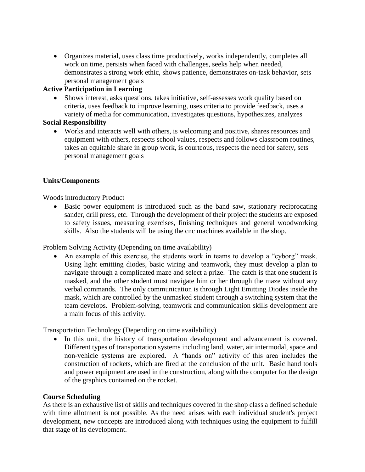Organizes material, uses class time productively, works independently, completes all work on time, persists when faced with challenges, seeks help when needed, demonstrates a strong work ethic, shows patience, demonstrates on-task behavior, sets personal management goals

## **Active Participation in Learning**

• Shows interest, asks questions, takes initiative, self-assesses work quality based on criteria, uses feedback to improve learning, uses criteria to provide feedback, uses a variety of media for communication, investigates questions, hypothesizes, analyzes

## **Social Responsibility**

 Works and interacts well with others, is welcoming and positive, shares resources and equipment with others, respects school values, respects and follows classroom routines, takes an equitable share in group work, is courteous, respects the need for safety, sets personal management goals

## **Units/Components**

Woods introductory Product

 Basic power equipment is introduced such as the band saw, stationary reciprocating sander, drill press, etc. Through the development of their project the students are exposed to safety issues, measuring exercises, finishing techniques and general woodworking skills. Also the students will be using the cnc machines available in the shop.

Problem Solving Activity **(**Depending on time availability)

 An example of this exercise, the students work in teams to develop a "cyborg" mask. Using light emitting diodes, basic wiring and teamwork, they must develop a plan to navigate through a complicated maze and select a prize. The catch is that one student is masked, and the other student must navigate him or her through the maze without any verbal commands. The only communication is through Light Emitting Diodes inside the mask, which are controlled by the unmasked student through a switching system that the team develops. Problem-solving, teamwork and communication skills development are a main focus of this activity.

Transportation Technology **(**Depending on time availability)

 In this unit, the history of transportation development and advancement is covered. Different types of transportation systems including land, water, air intermodal, space and non-vehicle systems are explored. A "hands on" activity of this area includes the construction of rockets, which are fired at the conclusion of the unit. Basic hand tools and power equipment are used in the construction, along with the computer for the design of the graphics contained on the rocket.

#### **Course Scheduling**

As there is an exhaustive list of skills and techniques covered in the shop class a defined schedule with time allotment is not possible. As the need arises with each individual student's project development, new concepts are introduced along with techniques using the equipment to fulfill that stage of its development.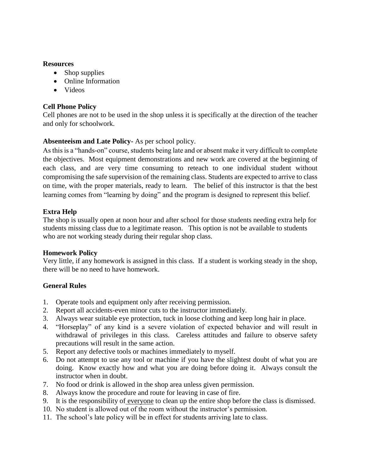### **Resources**

- Shop supplies
- Online Information
- Videos

# **Cell Phone Policy**

Cell phones are not to be used in the shop unless it is specifically at the direction of the teacher and only for schoolwork.

# **Absenteeism and Late Policy-** As per school policy.

As this is a "hands-on" course, students being late and or absent make it very difficult to complete the objectives. Most equipment demonstrations and new work are covered at the beginning of each class, and are very time consuming to reteach to one individual student without compromising the safe supervision of the remaining class. Students are expected to arrive to class on time, with the proper materials, ready to learn. The belief of this instructor is that the best learning comes from "learning by doing" and the program is designed to represent this belief.

# **Extra Help**

The shop is usually open at noon hour and after school for those students needing extra help for students missing class due to a legitimate reason. This option is not be available to students who are not working steady during their regular shop class.

# **Homework Policy**

Very little, if any homework is assigned in this class. If a student is working steady in the shop, there will be no need to have homework.

# **General Rules**

- 1. Operate tools and equipment only after receiving permission.
- 2. Report all accidents-even minor cuts to the instructor immediately.
- 3. Always wear suitable eye protection, tuck in loose clothing and keep long hair in place.
- 4. "Horseplay" of any kind is a severe violation of expected behavior and will result in withdrawal of privileges in this class. Careless attitudes and failure to observe safety precautions will result in the same action.
- 5. Report any defective tools or machines immediately to myself.
- 6. Do not attempt to use any tool or machine if you have the slightest doubt of what you are doing. Know exactly how and what you are doing before doing it. Always consult the instructor when in doubt.
- 7. No food or drink is allowed in the shop area unless given permission.
- 8. Always know the procedure and route for leaving in case of fire.
- 9. It is the responsibility of everyone to clean up the entire shop before the class is dismissed.
- 10. No student is allowed out of the room without the instructor's permission.
- 11. The school's late policy will be in effect for students arriving late to class.